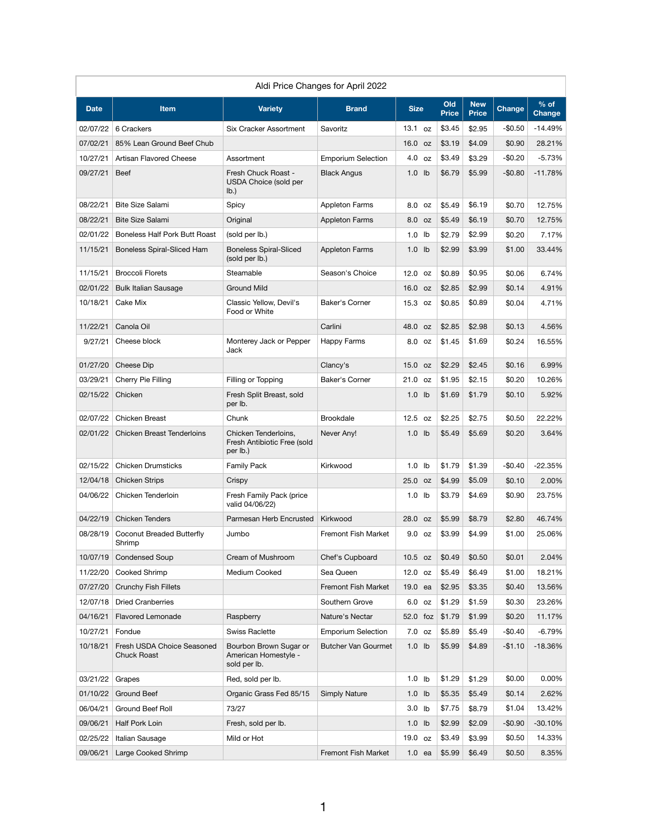| Aldi Price Changes for April 2022 |                                                  |                                                                 |                            |             |                           |                     |                            |               |                         |  |
|-----------------------------------|--------------------------------------------------|-----------------------------------------------------------------|----------------------------|-------------|---------------------------|---------------------|----------------------------|---------------|-------------------------|--|
| <b>Date</b>                       | Item                                             | <b>Variety</b>                                                  | <b>Brand</b>               | <b>Size</b> |                           | Old<br><b>Price</b> | <b>New</b><br><b>Price</b> | <b>Change</b> | $%$ of<br><b>Change</b> |  |
| 02/07/22                          | 6 Crackers                                       | <b>Six Cracker Assortment</b>                                   | Savoritz                   | 13.1        | <b>OZ</b>                 | \$3.45              | \$2.95                     | $-$0.50$      | $-14.49%$               |  |
| 07/02/21                          | 85% Lean Ground Beef Chub                        |                                                                 |                            | 16.0 oz     |                           | \$3.19              | \$4.09                     | \$0.90        | 28.21%                  |  |
| 10/27/21                          | Artisan Flavored Cheese                          | Assortment                                                      | <b>Emporium Selection</b>  | 4.0         | <b>OZ</b>                 | \$3.49              | \$3.29                     | $-$0.20$      | $-5.73%$                |  |
| 09/27/21                          | <b>Beef</b>                                      | Fresh Chuck Roast -<br><b>USDA Choice (sold per</b><br>lb.)     | <b>Black Angus</b>         | 1.0         | $\mathsf{I}^{\mathsf{b}}$ | \$6.79              | \$5.99                     | $-$0.80$      | $-11.78%$               |  |
| 08/22/21                          | <b>Bite Size Salami</b>                          | Spicy                                                           | Appleton Farms             | 8.0         | oz                        | \$5.49              | \$6.19                     | \$0.70        | 12.75%                  |  |
| 08/22/21                          | <b>Bite Size Salami</b>                          | Original                                                        | <b>Appleton Farms</b>      | 8.0         | <b>OZ</b>                 | \$5.49              | \$6.19                     | \$0.70        | 12.75%                  |  |
| 02/01/22                          | <b>Boneless Half Pork Butt Roast</b>             | (sold per lb.)                                                  |                            | 1.0         | $\mathsf{I}^{\mathsf{b}}$ | \$2.79              | \$2.99                     | \$0.20        | 7.17%                   |  |
| 11/15/21                          | <b>Boneless Spiral-Sliced Ham</b>                | <b>Boneless Spiral-Sliced</b><br>(sold per lb.)                 | <b>Appleton Farms</b>      | 1.0         | $\mathsf{lb}$             | \$2.99              | \$3.99                     | \$1.00        | 33.44%                  |  |
| 11/15/21                          | <b>Broccoli Florets</b>                          | Steamable                                                       | Season's Choice            | 12.0 oz     |                           | \$0.89              | \$0.95                     | \$0.06        | 6.74%                   |  |
| 02/01/22                          | <b>Bulk Italian Sausage</b>                      | <b>Ground Mild</b>                                              |                            | 16.0 oz     |                           | \$2.85              | \$2.99                     | \$0.14        | 4.91%                   |  |
| 10/18/21                          | Cake Mix                                         | Classic Yellow, Devil's<br>Food or White                        | Baker's Corner             | 15.3        | 0Z                        | \$0.85              | \$0.89                     | \$0.04        | 4.71%                   |  |
| 11/22/21                          | Canola Oil                                       |                                                                 | Carlini                    | 48.0 oz     |                           | \$2.85              | \$2.98                     | \$0.13        | 4.56%                   |  |
| 9/27/21                           | Cheese block                                     | Monterey Jack or Pepper<br>Jack                                 | <b>Happy Farms</b>         | 8.0 oz      |                           | \$1.45              | \$1.69                     | \$0.24        | 16.55%                  |  |
| 01/27/20                          | Cheese Dip                                       |                                                                 | Clancy's                   | 15.0 oz     |                           | \$2.29              | \$2.45                     | \$0.16        | 6.99%                   |  |
| 03/29/21                          | Cherry Pie Filling                               | Filling or Topping                                              | Baker's Corner             | 21.0 oz     |                           | \$1.95              | \$2.15                     | \$0.20        | 10.26%                  |  |
| 02/15/22                          | Chicken                                          | Fresh Split Breast, sold<br>per lb.                             |                            | 1.0         | I <sub>b</sub>            | \$1.69              | \$1.79                     | \$0.10        | 5.92%                   |  |
| 02/07/22                          | <b>Chicken Breast</b>                            | Chunk                                                           | <b>Brookdale</b>           | 12.5        | oz                        | \$2.25              | \$2.75                     | \$0.50        | 22.22%                  |  |
| 02/01/22                          | <b>Chicken Breast Tenderloins</b>                | Chicken Tenderloins,<br>Fresh Antibiotic Free (sold<br>per lb.) | Never Any!                 | 1.0         | Ib                        | \$5.49              | \$5.69                     | \$0.20        | 3.64%                   |  |
| 02/15/22                          | <b>Chicken Drumsticks</b>                        | <b>Family Pack</b>                                              | Kirkwood                   | 1.0         | $\mathsf{lb}$             | \$1.79              | \$1.39                     | $-$0.40$      | $-22.35%$               |  |
| 12/04/18                          | <b>Chicken Strips</b>                            | Crispy                                                          |                            | 25.0        | <b>OZ</b>                 | \$4.99              | \$5.09                     | \$0.10        | 2.00%                   |  |
| 04/06/22                          | Chicken Tenderloin                               | Fresh Family Pack (price<br>valid 04/06/22)                     |                            | 1.0         | lb                        | \$3.79              | \$4.69                     | \$0.90        | 23.75%                  |  |
| 04/22/19                          | <b>Chicken Tenders</b>                           | Parmesan Herb Encrusted                                         | Kirkwood                   | 28.0 oz     |                           | \$5.99              | \$8.79                     | \$2.80        | 46.74%                  |  |
| 08/28/19                          | Coconut Breaded Butterfly<br>Shrimp              | Jumbo                                                           | Fremont Fish Market        | 9.0         | OZ                        | \$3.99              | \$4.99                     | \$1.00        | 25.06%                  |  |
| 10/07/19                          | <b>Condensed Soup</b>                            | Cream of Mushroom                                               | Chef's Cupboard            | $10.5$ oz   |                           | \$0.49              | \$0.50                     | \$0.01        | 2.04%                   |  |
| 11/22/20                          | <b>Cooked Shrimp</b>                             | Medium Cooked                                                   | Sea Queen                  | 12.0 oz     |                           | \$5.49              | \$6.49                     | \$1.00        | 18.21%                  |  |
| 07/27/20                          | <b>Crunchy Fish Fillets</b>                      |                                                                 | Fremont Fish Market        | 19.0 ea     |                           | \$2.95              | \$3.35                     | \$0.40        | 13.56%                  |  |
| 12/07/18                          | <b>Dried Cranberries</b>                         |                                                                 | Southern Grove             | 6.0         | <b>OZ</b>                 | \$1.29              | \$1.59                     | \$0.30        | 23.26%                  |  |
| 04/16/21                          | <b>Flavored Lemonade</b>                         | Raspberry                                                       | Nature's Nectar            | 52.0 foz    |                           | \$1.79              | \$1.99                     | \$0.20        | 11.17%                  |  |
| 10/27/21                          | Fondue                                           | <b>Swiss Raclette</b>                                           | <b>Emporium Selection</b>  | 7.0         | <b>OZ</b>                 | \$5.89              | \$5.49                     | $-$0.40$      | $-6.79%$                |  |
| 10/18/21                          | Fresh USDA Choice Seasoned<br><b>Chuck Roast</b> | Bourbon Brown Sugar or<br>American Homestyle -<br>sold per lb.  | <b>Butcher Van Gourmet</b> | 1.0         | $\mathsf{I} \mathsf{b}$   | \$5.99              | \$4.89                     | $-$1.10$      | $-18.36%$               |  |
| 03/21/22                          | Grapes                                           | Red, sold per lb.                                               |                            | 1.0         | Ib                        | \$1.29              | \$1.29                     | \$0.00        | 0.00%                   |  |
| 01/10/22                          | <b>Ground Beef</b>                               | Organic Grass Fed 85/15                                         | <b>Simply Nature</b>       | 1.0         | Ib                        | \$5.35              | \$5.49                     | \$0.14        | 2.62%                   |  |
| 06/04/21                          | Ground Beef Roll                                 | 73/27                                                           |                            | 3.0         | lb                        | \$7.75              | \$8.79                     | \$1.04        | 13.42%                  |  |
| 09/06/21                          | Half Pork Loin                                   | Fresh, sold per lb.                                             |                            | 1.0         | $\mathsf{I}$              | \$2.99              | \$2.09                     | $-$0.90$      | $-30.10%$               |  |
|                                   | 02/25/22   Italian Sausage                       | Mild or Hot                                                     |                            | 19.0 oz     |                           | \$3.49              | \$3.99                     | \$0.50        | 14.33%                  |  |
| 09/06/21                          | Large Cooked Shrimp                              |                                                                 | Fremont Fish Market        | $1.0$ ea    |                           | \$5.99              | \$6.49                     | \$0.50        | 8.35%                   |  |

1